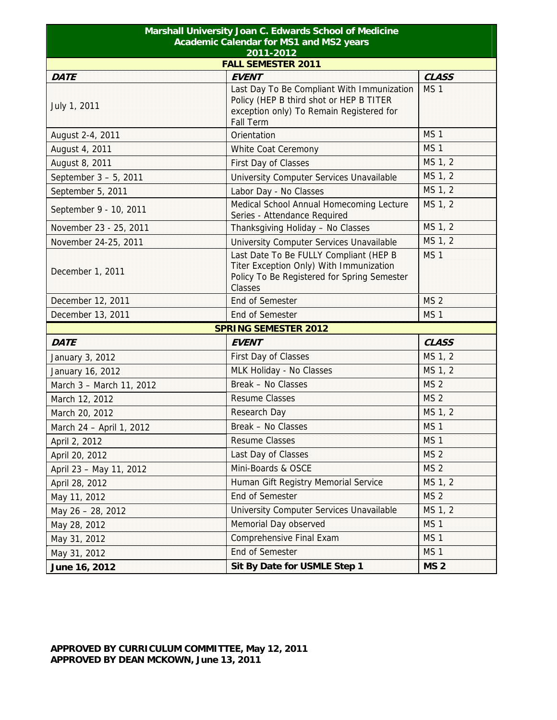| Marshall University Joan C. Edwards School of Medicine<br><b>Academic Calendar for MS1 and MS2 years</b><br>2011-2012<br><b>FALL SEMESTER 2011</b> |                                                                                                                                                       |                 |  |             |
|----------------------------------------------------------------------------------------------------------------------------------------------------|-------------------------------------------------------------------------------------------------------------------------------------------------------|-----------------|--|-------------|
|                                                                                                                                                    |                                                                                                                                                       |                 |  | <b>DATE</b> |
| July 1, 2011                                                                                                                                       | Last Day To Be Compliant With Immunization<br>Policy (HEP B third shot or HEP B TITER<br>exception only) To Remain Registered for<br><b>Fall Term</b> | MS <sub>1</sub> |  |             |
| August 2-4, 2011                                                                                                                                   | Orientation                                                                                                                                           | MS <sub>1</sub> |  |             |
| August 4, 2011                                                                                                                                     | White Coat Ceremony                                                                                                                                   | MS <sub>1</sub> |  |             |
| August 8, 2011                                                                                                                                     | First Day of Classes                                                                                                                                  | MS 1, 2         |  |             |
| September 3 - 5, 2011                                                                                                                              | University Computer Services Unavailable                                                                                                              | MS 1, 2         |  |             |
| September 5, 2011                                                                                                                                  | Labor Day - No Classes                                                                                                                                | MS 1, 2         |  |             |
| September 9 - 10, 2011                                                                                                                             | Medical School Annual Homecoming Lecture<br>Series - Attendance Required                                                                              | MS 1, 2         |  |             |
| November 23 - 25, 2011                                                                                                                             | Thanksgiving Holiday - No Classes                                                                                                                     | MS 1, 2         |  |             |
| November 24-25, 2011                                                                                                                               | University Computer Services Unavailable                                                                                                              | MS 1, 2         |  |             |
| December 1, 2011                                                                                                                                   | Last Date To Be FULLY Compliant (HEP B<br>Titer Exception Only) With Immunization<br>Policy To Be Registered for Spring Semester<br>Classes           | MS <sub>1</sub> |  |             |
| December 12, 2011                                                                                                                                  | <b>End of Semester</b>                                                                                                                                | <b>MS 2</b>     |  |             |
| December 13, 2011                                                                                                                                  | <b>End of Semester</b>                                                                                                                                | MS <sub>1</sub> |  |             |
|                                                                                                                                                    | <b>SPRING SEMESTER 2012</b>                                                                                                                           |                 |  |             |
| <b>DATE</b>                                                                                                                                        | <b>EVENT</b>                                                                                                                                          | <b>CLASS</b>    |  |             |
| January 3, 2012                                                                                                                                    | First Day of Classes                                                                                                                                  | MS 1, 2         |  |             |
| January 16, 2012                                                                                                                                   | MLK Holiday - No Classes                                                                                                                              | MS 1, 2         |  |             |
| March 3 - March 11, 2012                                                                                                                           | Break - No Classes                                                                                                                                    | MS <sub>2</sub> |  |             |
| March 12, 2012                                                                                                                                     | <b>Resume Classes</b>                                                                                                                                 | <b>MS 2</b>     |  |             |
| March 20, 2012                                                                                                                                     | <b>Research Day</b>                                                                                                                                   | MS 1, 2         |  |             |
| March 24 - April 1, 2012                                                                                                                           | Break - No Classes                                                                                                                                    | MS <sub>1</sub> |  |             |
| April 2, 2012                                                                                                                                      | <b>Resume Classes</b>                                                                                                                                 | MS <sub>1</sub> |  |             |
| April 20, 2012                                                                                                                                     | Last Day of Classes                                                                                                                                   | MS <sub>2</sub> |  |             |
| April 23 - May 11, 2012                                                                                                                            | Mini-Boards & OSCE                                                                                                                                    | MS <sub>2</sub> |  |             |
| April 28, 2012                                                                                                                                     | Human Gift Registry Memorial Service                                                                                                                  | MS 1, 2         |  |             |
| May 11, 2012                                                                                                                                       | End of Semester                                                                                                                                       | MS <sub>2</sub> |  |             |
| May 26 - 28, 2012                                                                                                                                  | University Computer Services Unavailable                                                                                                              | MS 1, 2         |  |             |
| May 28, 2012                                                                                                                                       | Memorial Day observed                                                                                                                                 | MS <sub>1</sub> |  |             |
| May 31, 2012                                                                                                                                       | Comprehensive Final Exam                                                                                                                              | MS <sub>1</sub> |  |             |
| May 31, 2012                                                                                                                                       | End of Semester                                                                                                                                       | MS <sub>1</sub> |  |             |
| June 16, 2012                                                                                                                                      | Sit By Date for USMLE Step 1                                                                                                                          | <b>MS 2</b>     |  |             |

## **APPROVED BY CURRICULUM COMMITTEE, May 12, 2011 APPROVED BY DEAN MCKOWN, June 13, 2011**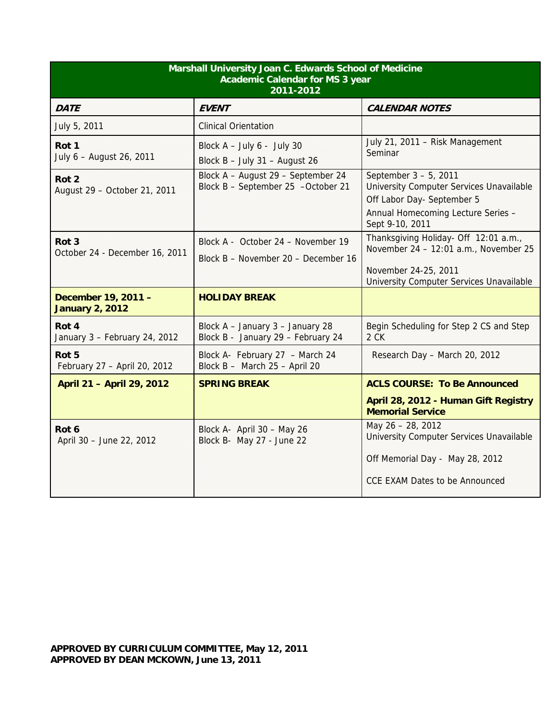| Marshall University Joan C. Edwards School of Medicine<br><b>Academic Calendar for MS 3 year</b><br>2011-2012 |                                                                           |                                                                                                                                                          |  |
|---------------------------------------------------------------------------------------------------------------|---------------------------------------------------------------------------|----------------------------------------------------------------------------------------------------------------------------------------------------------|--|
| <b>DATE</b>                                                                                                   | <b>EVENT</b>                                                              | <b>CALENDAR NOTES</b>                                                                                                                                    |  |
| July 5, 2011                                                                                                  | <b>Clinical Orientation</b>                                               |                                                                                                                                                          |  |
| Rot 1<br>July 6 - August 26, 2011                                                                             | Block $A - July 6 - July 30$<br>Block $B - July 31 - August 26$           | July 21, 2011 - Risk Management<br>Seminar                                                                                                               |  |
| Rot <sub>2</sub><br>August 29 - October 21, 2011                                                              | Block A - August 29 - September 24<br>Block B - September 25 -October 21  | September 3 - 5, 2011<br>University Computer Services Unavailable<br>Off Labor Day- September 5<br>Annual Homecoming Lecture Series -<br>Sept 9-10, 2011 |  |
| Rot <sub>3</sub><br>October 24 - December 16, 2011                                                            | Block A - October 24 - November 19<br>Block B - November 20 - December 16 | Thanksgiving Holiday- Off 12:01 a.m.,<br>November 24 - 12:01 a.m., November 25<br>November 24-25, 2011<br>University Computer Services Unavailable       |  |
| December 19, 2011 -<br><b>January 2, 2012</b>                                                                 | <b>HOLIDAY BREAK</b>                                                      |                                                                                                                                                          |  |
| Rot 4<br>January 3 - February 24, 2012                                                                        | Block A - January 3 - January 28<br>Block B - January 29 - February 24    | Begin Scheduling for Step 2 CS and Step<br>2 CK                                                                                                          |  |
| Rot 5<br>February 27 - April 20, 2012                                                                         | Block A- February 27 - March 24<br>Block B - March 25 - April 20          | Research Day - March 20, 2012                                                                                                                            |  |
| April 21 - April 29, 2012                                                                                     | <b>SPRING BREAK</b>                                                       | <b>ACLS COURSE: To Be Announced</b>                                                                                                                      |  |
|                                                                                                               |                                                                           | April 28, 2012 - Human Gift Registry<br><b>Memorial Service</b>                                                                                          |  |
| Rot 6<br>April 30 - June 22, 2012                                                                             | Block A- April 30 - May 26<br>Block B- May 27 - June 22                   | May 26 - 28, 2012<br>University Computer Services Unavailable<br>Off Memorial Day - May 28, 2012<br><b>CCE EXAM Dates to be Announced</b>                |  |